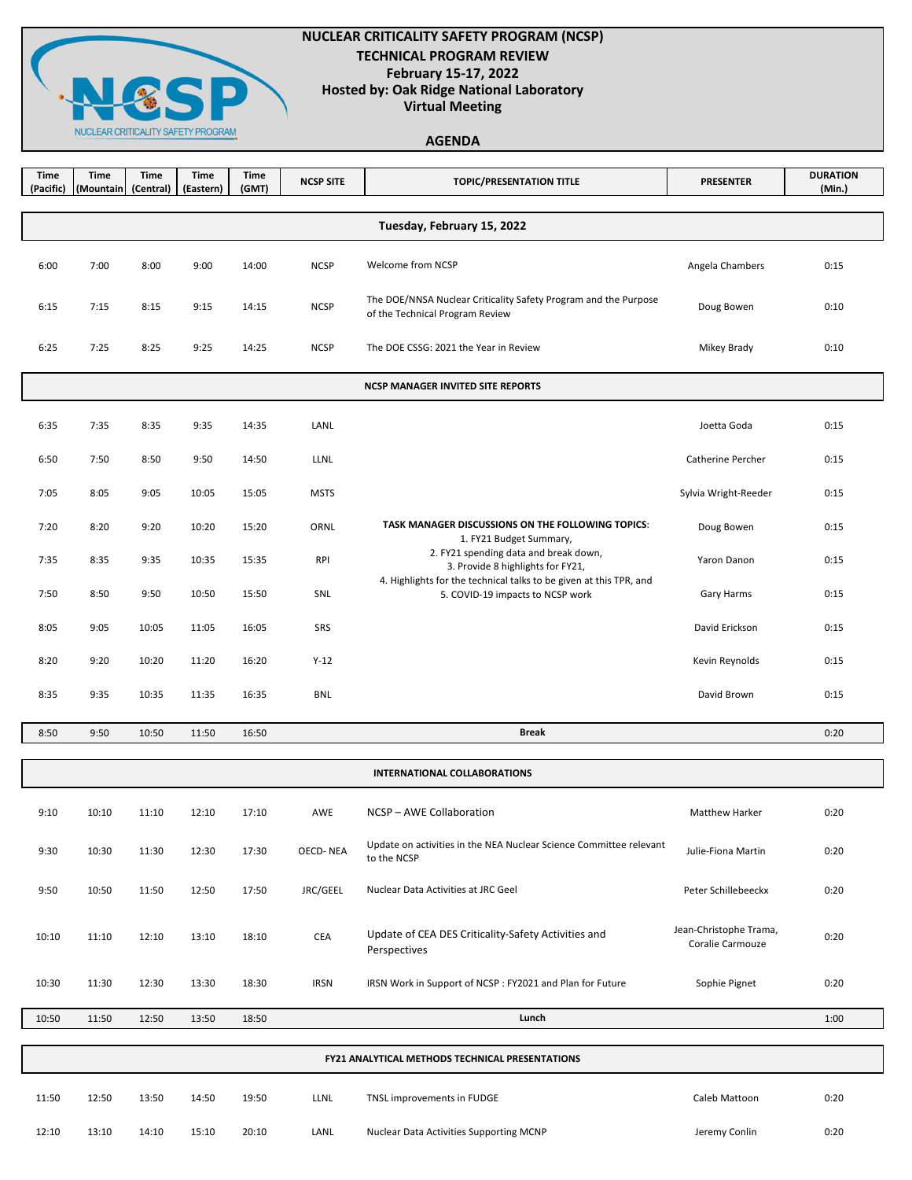

## **NUCLEAR CRITICALITY SAFETY PROGRAM (NCSP) TECHNICAL PROGRAM REVIEW February 15-17, 2022 Hosted by: Oak Ridge National Laboratory Virtual Meeting**

# **AGENDA**

| Time<br>(Pacific)                                      | <b>Time</b><br>(Mountain | <b>Time</b><br>(Central) | <b>Time</b><br>(Eastern) | <b>Time</b><br>(GMT) | <b>NCSP SITE</b> | <b>TOPIC/PRESENTATION TITLE</b>                                                                        | <b>PRESENTER</b>                           | <b>DURATION</b><br>(Min.) |  |  |
|--------------------------------------------------------|--------------------------|--------------------------|--------------------------|----------------------|------------------|--------------------------------------------------------------------------------------------------------|--------------------------------------------|---------------------------|--|--|
| Tuesday, February 15, 2022                             |                          |                          |                          |                      |                  |                                                                                                        |                                            |                           |  |  |
| 6:00                                                   | 7:00                     | 8:00                     | 9:00                     | 14:00                | <b>NCSP</b>      | Welcome from NCSP                                                                                      | Angela Chambers                            | 0:15                      |  |  |
| 6:15                                                   | 7:15                     | 8:15                     | 9:15                     | 14:15                | <b>NCSP</b>      | The DOE/NNSA Nuclear Criticality Safety Program and the Purpose<br>of the Technical Program Review     | Doug Bowen                                 | 0:10                      |  |  |
| 6:25                                                   | 7:25                     | 8:25                     | 9:25                     | 14:25                | <b>NCSP</b>      | The DOE CSSG: 2021 the Year in Review                                                                  | Mikey Brady                                | 0:10                      |  |  |
| <b>NCSP MANAGER INVITED SITE REPORTS</b>               |                          |                          |                          |                      |                  |                                                                                                        |                                            |                           |  |  |
| 6:35                                                   | 7:35                     | 8:35                     | 9:35                     | 14:35                | LANL             |                                                                                                        | Joetta Goda                                | 0:15                      |  |  |
| 6:50                                                   | 7:50                     | 8:50                     | 9:50                     | 14:50                | LLNL             |                                                                                                        | Catherine Percher                          | 0:15                      |  |  |
| 7:05                                                   | 8:05                     | 9:05                     | 10:05                    | 15:05                | <b>MSTS</b>      |                                                                                                        | Sylvia Wright-Reeder                       | 0:15                      |  |  |
| 7:20                                                   | 8:20                     | 9:20                     | 10:20                    | 15:20                | ORNL             | TASK MANAGER DISCUSSIONS ON THE FOLLOWING TOPICS:<br>1. FY21 Budget Summary,                           | Doug Bowen                                 | 0:15                      |  |  |
| 7:35                                                   | 8:35                     | 9:35                     | 10:35                    | 15:35                | <b>RPI</b>       | 2. FY21 spending data and break down,<br>3. Provide 8 highlights for FY21,                             | Yaron Danon                                | 0:15                      |  |  |
| 7:50                                                   | 8:50                     | 9:50                     | 10:50                    | 15:50                | SNL              | 4. Highlights for the technical talks to be given at this TPR, and<br>5. COVID-19 impacts to NCSP work | Gary Harms                                 | 0:15                      |  |  |
| 8:05                                                   | 9:05                     | 10:05                    | 11:05                    | 16:05                | SRS              |                                                                                                        | David Erickson                             | 0:15                      |  |  |
| 8:20                                                   | 9:20                     | 10:20                    | 11:20                    | 16:20                | $Y-12$           |                                                                                                        | Kevin Reynolds                             | 0:15                      |  |  |
| 8:35                                                   | 9:35                     | 10:35                    | 11:35                    | 16:35                | <b>BNL</b>       |                                                                                                        | David Brown                                | 0:15                      |  |  |
| 8:50                                                   | 9:50                     | 10:50                    | 11:50                    | 16:50                |                  | <b>Break</b>                                                                                           |                                            | 0:20                      |  |  |
|                                                        |                          |                          |                          |                      |                  | <b>INTERNATIONAL COLLABORATIONS</b>                                                                    |                                            |                           |  |  |
| 9:10                                                   | 10:10                    | 11:10                    | 12:10                    | 17:10                | AWE              | NCSP-AWE Collaboration                                                                                 | <b>Matthew Harker</b>                      | 0:20                      |  |  |
| 9:30                                                   | 10:30                    | 11:30                    | 12:30                    | 17:30                | <b>OECD-NEA</b>  | Update on activities in the NEA Nuclear Science Committee relevant<br>to the NCSP                      | Julie-Fiona Martin                         | 0:20                      |  |  |
| 9:50                                                   | 10:50                    | 11:50                    | 12:50                    | 17:50                | JRC/GEEL         | Nuclear Data Activities at JRC Geel                                                                    | Peter Schillebeeckx                        | 0:20                      |  |  |
| 10:10                                                  | 11:10                    | 12:10                    | 13:10                    | 18:10                | CEA              | Update of CEA DES Criticality-Safety Activities and<br>Perspectives                                    | Jean-Christophe Trama,<br>Coralie Carmouze | 0:20                      |  |  |
| 10:30                                                  | 11:30                    | 12:30                    | 13:30                    | 18:30                | <b>IRSN</b>      | IRSN Work in Support of NCSP: FY2021 and Plan for Future                                               | Sophie Pignet                              | 0:20                      |  |  |
| 10:50                                                  | 11:50                    | 12:50                    | 13:50                    | 18:50                |                  | Lunch                                                                                                  |                                            | 1:00                      |  |  |
| <b>FY21 ANALYTICAL METHODS TECHNICAL PRESENTATIONS</b> |                          |                          |                          |                      |                  |                                                                                                        |                                            |                           |  |  |
| 11:50                                                  | 12:50                    | 13:50                    | 14:50                    | 19:50                | LLNL             | TNSL improvements in FUDGE                                                                             | Caleb Mattoon                              | 0:20                      |  |  |
| 12:10                                                  | 13:10                    | 14:10                    | 15:10                    | 20:10                | LANL             | Nuclear Data Activities Supporting MCNP                                                                | Jeremy Conlin                              | 0:20                      |  |  |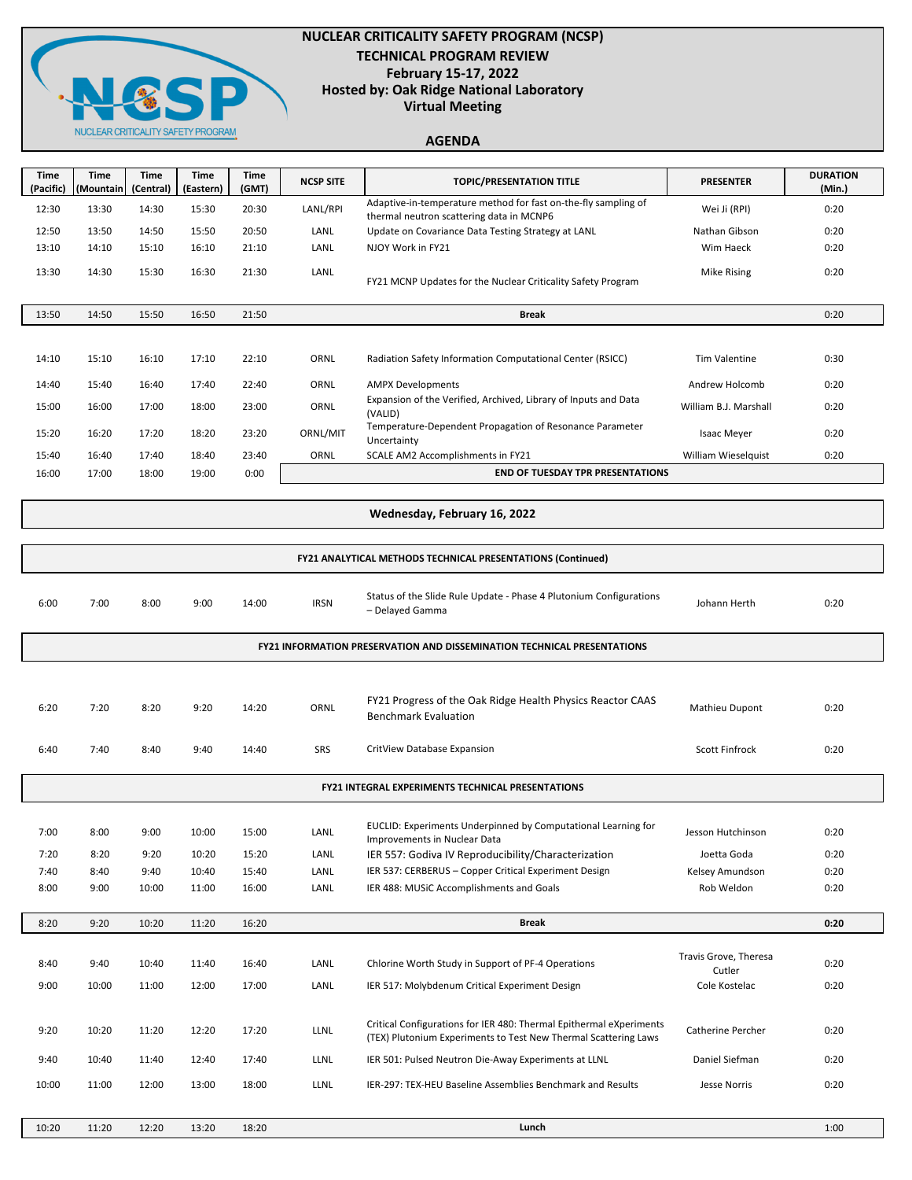

## **NUCLEAR CRITICALITY SAFETY PROGRAM (NCSP) TECHNICAL PROGRAM REVIEW February 15-17, 2022 Hosted by: Oak Ridge National Laboratory Virtual Meeting**

# **AGENDA**

| Time<br>(Pacific) | <b>Time</b><br>(Mountain | <b>Time</b><br>(Central) | <b>Time</b><br>(Eastern) | <b>Time</b><br>(GMT) | <b>NCSP SITE</b> | <b>TOPIC/PRESENTATION TITLE</b>                                                                            | <b>PRESENTER</b>      | <b>DURATION</b><br>(Min.) |
|-------------------|--------------------------|--------------------------|--------------------------|----------------------|------------------|------------------------------------------------------------------------------------------------------------|-----------------------|---------------------------|
| 12:30             | 13:30                    | 14:30                    | 15:30                    | 20:30                | LANL/RPI         | Adaptive-in-temperature method for fast on-the-fly sampling of<br>thermal neutron scattering data in MCNP6 | Wei Ji (RPI)          | 0:20                      |
| 12:50             | 13:50                    | 14:50                    | 15:50                    | 20:50                | LANL             | Update on Covariance Data Testing Strategy at LANL                                                         | Nathan Gibson         | 0:20                      |
| 13:10             | 14:10                    | 15:10                    | 16:10                    | 21:10                | LANL             | NJOY Work in FY21                                                                                          | Wim Haeck             | 0:20                      |
| 13:30             | 14:30                    | 15:30                    | 16:30                    | 21:30                | LANL             | FY21 MCNP Updates for the Nuclear Criticality Safety Program                                               | <b>Mike Rising</b>    | 0:20                      |
| 13:50             | 14:50                    | 15:50                    | 16:50                    | 21:50                |                  | <b>Break</b>                                                                                               |                       | 0:20                      |
|                   |                          |                          |                          |                      |                  |                                                                                                            |                       |                           |
| 14:10             | 15:10                    | 16:10                    | 17:10                    | 22:10                | ORNL             | Radiation Safety Information Computational Center (RSICC)                                                  | <b>Tim Valentine</b>  | 0:30                      |
| 14:40             | 15:40                    | 16:40                    | 17:40                    | 22:40                | ORNL             | <b>AMPX Developments</b>                                                                                   | Andrew Holcomb        | 0:20                      |
| 15:00             | 16:00                    | 17:00                    | 18:00                    | 23:00                | ORNL             | Expansion of the Verified, Archived, Library of Inputs and Data<br>(VALID)                                 | William B.J. Marshall | 0:20                      |
| 15:20             | 16:20                    | 17:20                    | 18:20                    | 23:20                | ORNL/MIT         | Temperature-Dependent Propagation of Resonance Parameter<br>Uncertainty                                    | <b>Isaac Meyer</b>    | 0:20                      |
| 15:40             | 16:40                    | 17:40                    | 18:40                    | 23:40                | ORNL             | SCALE AM2 Accomplishments in FY21                                                                          | William Wieselquist   | 0:20                      |
| 16:00             | 17:00                    | 18:00                    | 19:00                    | 0:00                 |                  | <b>END OF TUESDAY TPR PRESENTATIONS</b>                                                                    |                       |                           |
|                   |                          |                          |                          |                      |                  |                                                                                                            |                       |                           |

#### **Wednesday, February 16, 2022**

| <b>FY21 ANALYTICAL METHODS TECHNICAL PRESENTATIONS (Continued)</b>      |                                                          |       |       |       |             |                                                                                                                                        |                                 |      |  |  |
|-------------------------------------------------------------------------|----------------------------------------------------------|-------|-------|-------|-------------|----------------------------------------------------------------------------------------------------------------------------------------|---------------------------------|------|--|--|
| 6:00                                                                    | 7:00                                                     | 8:00  | 9:00  | 14:00 | <b>IRSN</b> | Status of the Slide Rule Update - Phase 4 Plutonium Configurations<br>- Delayed Gamma                                                  | Johann Herth                    | 0:20 |  |  |
| FY21 INFORMATION PRESERVATION AND DISSEMINATION TECHNICAL PRESENTATIONS |                                                          |       |       |       |             |                                                                                                                                        |                                 |      |  |  |
|                                                                         |                                                          |       |       |       |             |                                                                                                                                        |                                 |      |  |  |
| 6:20                                                                    | 7:20                                                     | 8:20  | 9:20  | 14:20 | ORNL        | FY21 Progress of the Oak Ridge Health Physics Reactor CAAS<br><b>Benchmark Evaluation</b>                                              | Mathieu Dupont                  | 0:20 |  |  |
| 6:40                                                                    | 7:40                                                     | 8:40  | 9:40  | 14:40 | <b>SRS</b>  | CritView Database Expansion                                                                                                            | <b>Scott Finfrock</b>           | 0:20 |  |  |
|                                                                         | <b>FY21 INTEGRAL EXPERIMENTS TECHNICAL PRESENTATIONS</b> |       |       |       |             |                                                                                                                                        |                                 |      |  |  |
|                                                                         |                                                          |       |       |       |             |                                                                                                                                        |                                 |      |  |  |
| 7:00                                                                    | 8:00                                                     | 9:00  | 10:00 | 15:00 | LANL        | EUCLID: Experiments Underpinned by Computational Learning for<br>Improvements in Nuclear Data                                          | Jesson Hutchinson               | 0:20 |  |  |
| 7:20                                                                    | 8:20                                                     | 9:20  | 10:20 | 15:20 | LANL        | IER 557: Godiva IV Reproducibility/Characterization                                                                                    | Joetta Goda                     | 0:20 |  |  |
| 7:40                                                                    | 8:40                                                     | 9:40  | 10:40 | 15:40 | LANL        | IER 537: CERBERUS - Copper Critical Experiment Design                                                                                  | Kelsey Amundson                 | 0:20 |  |  |
| 8:00                                                                    | 9:00                                                     | 10:00 | 11:00 | 16:00 | LANL        | IER 488: MUSiC Accomplishments and Goals                                                                                               | Rob Weldon                      | 0:20 |  |  |
| 8:20                                                                    | 9:20                                                     | 10:20 | 11:20 | 16:20 |             | <b>Break</b>                                                                                                                           |                                 | 0:20 |  |  |
| 8:40                                                                    | 9:40                                                     | 10:40 | 11:40 | 16:40 | LANL        | Chlorine Worth Study in Support of PF-4 Operations                                                                                     | Travis Grove, Theresa<br>Cutler | 0:20 |  |  |
| 9:00                                                                    | 10:00                                                    | 11:00 | 12:00 | 17:00 | LANL        | IER 517: Molybdenum Critical Experiment Design                                                                                         | Cole Kostelac                   | 0:20 |  |  |
|                                                                         |                                                          |       |       |       |             |                                                                                                                                        |                                 |      |  |  |
| 9:20                                                                    | 10:20                                                    | 11:20 | 12:20 | 17:20 | LLNL        | Critical Configurations for IER 480: Thermal Epithermal eXperiments<br>(TEX) Plutonium Experiments to Test New Thermal Scattering Laws | <b>Catherine Percher</b>        | 0:20 |  |  |
| 9:40                                                                    | 10:40                                                    | 11:40 | 12:40 | 17:40 | LLNL        | IER 501: Pulsed Neutron Die-Away Experiments at LLNL                                                                                   | Daniel Siefman                  | 0:20 |  |  |
| 10:00                                                                   | 11:00                                                    | 12:00 | 13:00 | 18:00 | LLNL        | IER-297: TEX-HEU Baseline Assemblies Benchmark and Results                                                                             | Jesse Norris                    | 0:20 |  |  |
| 10:20                                                                   | 11:20                                                    | 12:20 | 13:20 | 18:20 |             | Lunch                                                                                                                                  |                                 | 1:00 |  |  |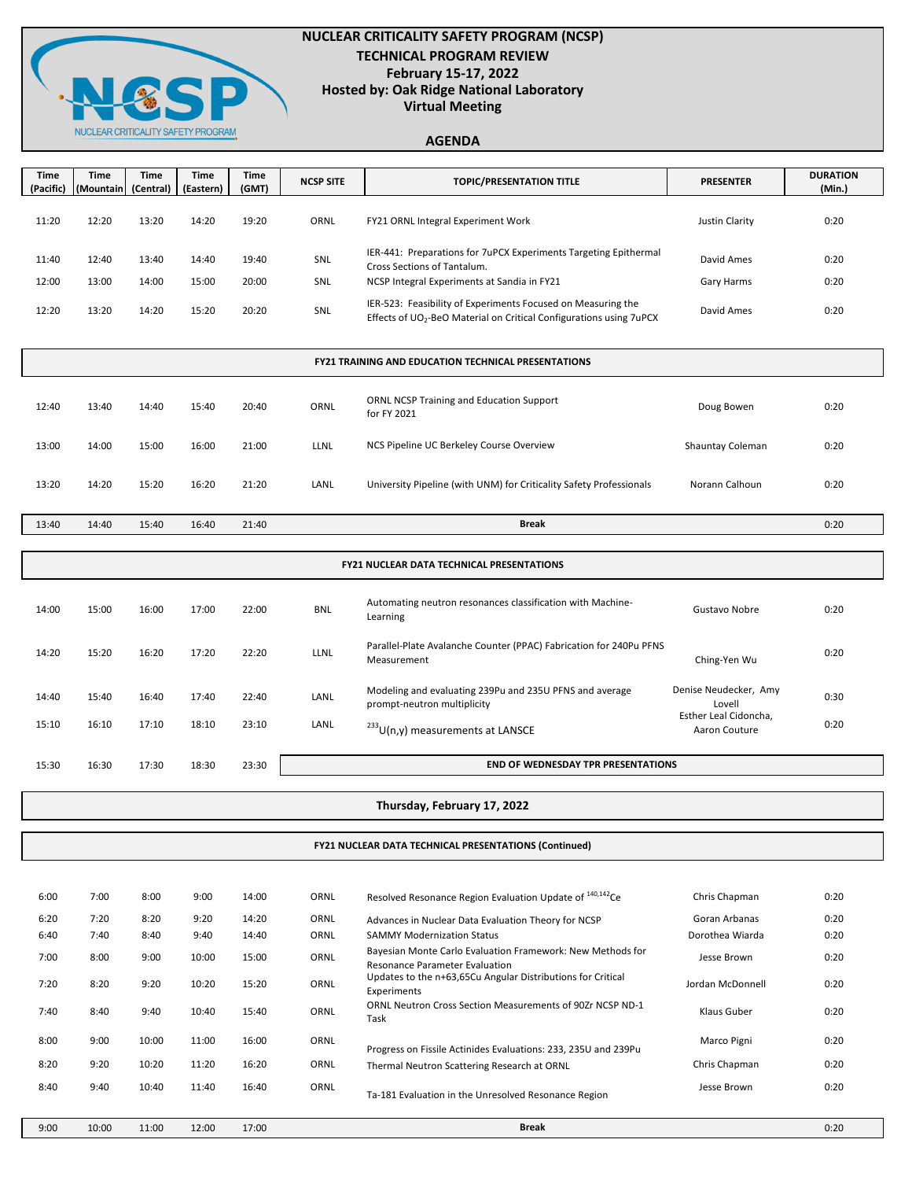

8:00 9:00 10:00 11:00 16:00 ORNL

8:40 9:40 10:40 11:40 16:40 ORNL

## **NUCLEAR CRITICALITY SAFETY PROGRAM (NCSP) TECHNICAL PROGRAM REVIEW February 15-17, 2022 Hosted by: Oak Ridge National Laboratory Virtual Meeting**

### **AGENDA**

| <b>Time</b><br>(Pacific)                                   | <b>Time</b><br>(Mountain | Time<br>(Central) | Time<br>(Eastern) | Time<br>(GMT) | <b>NCSP SITE</b> | <b>TOPIC/PRESENTATION TITLE</b>                                                                                                                 | <b>PRESENTER</b>                       | <b>DURATION</b><br>(Min.) |  |  |
|------------------------------------------------------------|--------------------------|-------------------|-------------------|---------------|------------------|-------------------------------------------------------------------------------------------------------------------------------------------------|----------------------------------------|---------------------------|--|--|
| 11:20                                                      | 12:20                    | 13:20             | 14:20             | 19:20         | ORNL             | FY21 ORNL Integral Experiment Work                                                                                                              | <b>Justin Clarity</b>                  | 0:20                      |  |  |
|                                                            |                          |                   |                   |               |                  |                                                                                                                                                 |                                        |                           |  |  |
| 11:40                                                      | 12:40                    | 13:40             | 14:40             | 19:40         | SNL              | IER-441: Preparations for 7uPCX Experiments Targeting Epithermal<br>Cross Sections of Tantalum.                                                 | David Ames                             | 0:20                      |  |  |
| 12:00                                                      | 13:00                    | 14:00             | 15:00             | 20:00         | SNL              | NCSP Integral Experiments at Sandia in FY21                                                                                                     | Gary Harms                             | 0:20                      |  |  |
| 12:20                                                      | 13:20                    | 14:20             | 15:20             | 20:20         | SNL              | IER-523: Feasibility of Experiments Focused on Measuring the<br>Effects of UO <sub>2</sub> -BeO Material on Critical Configurations using 7uPCX | David Ames                             | 0:20                      |  |  |
| <b>FY21 TRAINING AND EDUCATION TECHNICAL PRESENTATIONS</b> |                          |                   |                   |               |                  |                                                                                                                                                 |                                        |                           |  |  |
| 12:40                                                      | 13:40                    | 14:40             | 15:40             | 20:40         | ORNL             | <b>ORNL NCSP Training and Education Support</b><br>for FY 2021                                                                                  | Doug Bowen                             | 0:20                      |  |  |
| 13:00                                                      | 14:00                    | 15:00             | 16:00             | 21:00         | <b>LLNL</b>      | NCS Pipeline UC Berkeley Course Overview                                                                                                        | Shauntay Coleman                       | 0:20                      |  |  |
| 13:20                                                      | 14:20                    | 15:20             | 16:20             | 21:20         | LANL             | University Pipeline (with UNM) for Criticality Safety Professionals                                                                             | Norann Calhoun                         | 0:20                      |  |  |
| 13:40                                                      | 14:40                    | 15:40             | 16:40             | 21:40         |                  | <b>Break</b>                                                                                                                                    |                                        | 0:20                      |  |  |
|                                                            |                          |                   |                   |               |                  |                                                                                                                                                 |                                        |                           |  |  |
| FY21 NUCLEAR DATA TECHNICAL PRESENTATIONS                  |                          |                   |                   |               |                  |                                                                                                                                                 |                                        |                           |  |  |
| 14:00                                                      | 15:00                    | 16:00             | 17:00             | 22:00         | <b>BNL</b>       | Automating neutron resonances classification with Machine-<br>Learning                                                                          | Gustavo Nobre                          | 0:20                      |  |  |
| 14:20                                                      | 15:20                    | 16:20             | 17:20             | 22:20         | LLNL             | Parallel-Plate Avalanche Counter (PPAC) Fabrication for 240Pu PFNS<br>Measurement                                                               | Ching-Yen Wu                           | 0:20                      |  |  |
| 14:40                                                      | 15:40                    | 16:40             | 17:40             | 22:40         | LANL             | Modeling and evaluating 239Pu and 235U PFNS and average<br>prompt-neutron multiplicity                                                          | Denise Neudecker, Amy<br>Lovell        | 0:30                      |  |  |
| 15:10                                                      | 16:10                    | 17:10             | 18:10             | 23:10         | LANL             | <sup>233</sup> U(n,y) measurements at LANSCE                                                                                                    | Esther Leal Cidoncha,<br>Aaron Couture | 0:20                      |  |  |
| 15:30                                                      | 16:30                    | 17:30             | 18:30             | 23:30         |                  | <b>END OF WEDNESDAY TPR PRESENTATIONS</b>                                                                                                       |                                        |                           |  |  |
|                                                            |                          |                   |                   |               |                  |                                                                                                                                                 |                                        |                           |  |  |
|                                                            |                          |                   |                   |               |                  | Thursday, February 17, 2022                                                                                                                     |                                        |                           |  |  |
|                                                            |                          |                   |                   |               |                  | <b>FY21 NUCLEAR DATA TECHNICAL PRESENTATIONS (Continued)</b>                                                                                    |                                        |                           |  |  |
|                                                            |                          |                   |                   |               |                  |                                                                                                                                                 |                                        |                           |  |  |
| 6:00                                                       | 7:00                     | 8:00              | 9:00              | 14:00         | ORNL             | Resolved Resonance Region Evaluation Update of <sup>140,142</sup> Ce                                                                            | Chris Chapman                          | 0:20                      |  |  |
| 6:20                                                       | 7:20                     | 8:20              | 9:20              | 14:20         | ORNL             | Advances in Nuclear Data Evaluation Theory for NCSP                                                                                             | Goran Arbanas                          | 0:20                      |  |  |
| 6:40                                                       | 7:40                     | 8:40              | 9:40              | 14:40         | ORNL             | <b>SAMMY Modernization Status</b>                                                                                                               | Dorothea Wiarda                        | 0:20                      |  |  |
| 7:00                                                       | 8:00                     | 9:00              | 10:00             | 15:00         | ORNL             | Bayesian Monte Carlo Evaluation Framework: New Methods for<br>Resonance Parameter Evaluation                                                    | Jesse Brown                            | 0:20                      |  |  |
| 7:20                                                       | 8:20                     | 9:20              | 10:20             | 15:20         | ORNL             | Updates to the n+63,65Cu Angular Distributions for Critical<br>Experiments                                                                      | Jordan McDonnell                       | 0:20                      |  |  |
| 7:40                                                       | 8:40                     | 9:40              | 10:40             | 15:40         | ORNL             | ORNL Neutron Cross Section Measurements of 90Zr NCSP ND-1<br>Task                                                                               | Klaus Guber                            | 0:20                      |  |  |

9:00 10:00 11:00 12:00 17:00 0:20 **Break**

Ta-181 Evaluation in the Unresolved Resonance Region

8:20 9:20 10:20 11:20 16:20 ORNL Thermal Neutron Scattering Research at ORNL Chris Chapman 0:20

Progress on Fissile Actinides Evaluations: 233, 235U and 239Pu Marco Pigni 0:20

Jesse Brown 0:20